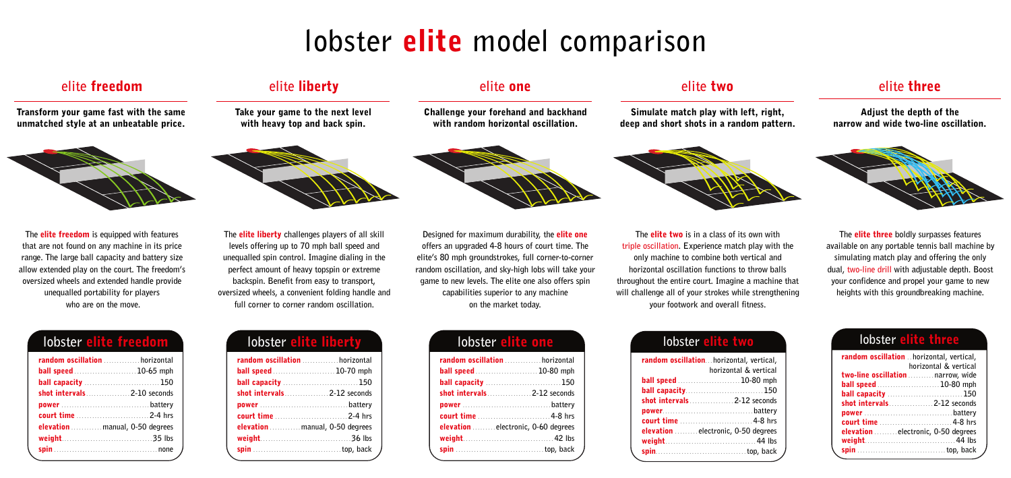**Designed for maximum durability, the elite one offers an upgraded 4-8 hours of court time. The elite's 80 mph groundstrokes, full corner-to-corner random oscillation, and sky-high lobs will take your game to new levels. The elite one also offers spin capabilities superior to any machine on the market today.**

**The elite two is in a class of its own with triple oscillation. Experience match play with the only machine to combine both vertical and horizontal oscillation functions to throw balls throughout the entire court. Imagine a machine that will challenge all of your strokes while strengthening your footwork and overall fitness.**

**The elite three boldly surpasses features available on any portable tennis ball machine by simulating match play and offering the only dual, two-line drill with adjustable depth. Boost your confidence and propel your game to new heights with this groundbreaking machine.**

| random oscillation  horizontal     |  |
|------------------------------------|--|
| <b>ball speed</b> 10-80 mph        |  |
| <b>ball capacity</b> 150           |  |
|                                    |  |
|                                    |  |
|                                    |  |
| elevation electronic, 0-60 degrees |  |
|                                    |  |
|                                    |  |
|                                    |  |

| random oscillation horizontal, vertical,           |
|----------------------------------------------------|
| horizontal & vertical                              |
| <b>ball speed</b> 10-80 mph                        |
| <b>ball capacity150</b>                            |
| <b>shot intervals</b> [1995] <b>shot intervals</b> |
|                                                    |
|                                                    |
| elevation <i>minimizelectronic</i> , 0-50 degrees  |
|                                                    |
|                                                    |
|                                                    |

## **lobster elite two**

## **lobster elite** one **lobster lobster elite** through **lobster elite** three

| random oscillation  horizontal, vertical,           |                       |
|-----------------------------------------------------|-----------------------|
|                                                     | horizontal & vertical |
| two-line oscillation  narrow, wide                  |                       |
| <b>ball speed</b> 10-80 mph                         |                       |
| <b>ball capacity</b> 150                            |                       |
| <b>shot intervals</b> [1995] <b>shot intervals</b>  |                       |
|                                                     |                       |
|                                                     |                       |
| elevation <i>minimited</i> electronic, 0-50 degrees |                       |
|                                                     |                       |
|                                                     |                       |

## **elite one elite two elite three**

**Simulate match play with left, right, deep and short shots in a random pattern.**



### **Adjust the depth of the narrow and wide two-line oscillation.**



**Challenge your forehand and backhand with random horizontal oscillation.**



**The elite freedom is equipped with features that are not found on any machine in its price range. The large ball capacity and battery size allow extended play on the court. The freedom's oversized wheels and extended handle provide unequalled portability for players who are on the move.** 

| random oscillation horizontal   |  |
|---------------------------------|--|
| <b>ball speed</b> 10-65 mph     |  |
| <b>ball capacity</b> 150        |  |
| shot intervals2-10 seconds      |  |
|                                 |  |
|                                 |  |
| elevation  manual, 0-50 degrees |  |
|                                 |  |
|                                 |  |
|                                 |  |

| lobster |
|---------|
|---------|

**Transform your game fast with the same unmatched style at an unbeatable price.**



### **elite freedom**

**The elite liberty challenges players of all skill levels offering up to 70 mph ball speed and unequalled spin control. Imagine dialing in the perfect amount of heavy topspin or extreme backspin. Benefit from easy to transport, oversized wheels, a convenient folding handle and full corner to corner random oscillation.**

| lobster elite liberty                |  |
|--------------------------------------|--|
| <b>random oscillation</b> horizontal |  |
| <b>ball speed</b> 10-70 mph          |  |
| <b>ball capacity</b> 150             |  |
|                                      |  |
|                                      |  |
|                                      |  |
| elevation  manual, 0-50 degrees      |  |
|                                      |  |
|                                      |  |

**Take your game to the next level with heavy top and back spin.**



## **elite liberty**

# **lobster elite model comparison**